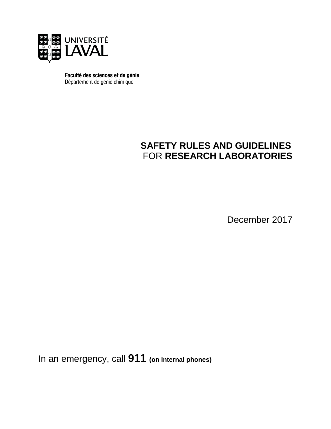

Faculté des sciences et de génie Département de génie chimique

## **SAFETY RULES AND GUIDELINES** FOR **RESEARCH LABORATORIES**

December 2017

In an emergency, call **911 (on internal phones)**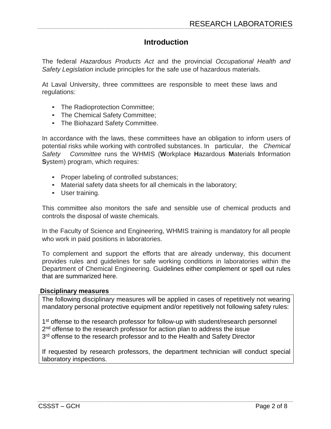## **Introduction**

The federal *Hazardous Products Act* and the provincial *Occupational Health and Safety Legislation* include principles for the safe use of hazardous materials.

At Laval University, three committees are responsible to meet these laws and regulations:

- The Radioprotection Committee;
- The Chemical Safety Committee;
- The Biohazard Safety Committee.

In accordance with the laws, these committees have an obligation to inform users of potential risks while working with controlled substances. In particular, the *Chemical Safety Committee* runs the WHMIS (**W**orkplace **H**azardous **M**aterials **I**nformation **S**ystem) program, which requires:

- Proper labeling of controlled substances;
- Material safety data sheets for all chemicals in the laboratory;
- User training.

This committee also monitors the safe and sensible use of chemical products and controls the disposal of waste chemicals.

In the Faculty of Science and Engineering, WHMIS training is mandatory for all people who work in paid positions in laboratories.

To complement and support the efforts that are already underway, this document provides rules and guidelines for safe working conditions in laboratories within the Department of Chemical Engineering. Guidelines either complement or spell out rules that are summarized here.

## **Disciplinary measures**

The following disciplinary measures will be applied in cases of repetitively not wearing mandatory personal protective equipment and/or repetitively not following safety rules:

1<sup>st</sup> offense to the research professor for follow-up with student/research personnel 2<sup>nd</sup> offense to the research professor for action plan to address the issue 3<sup>rd</sup> offense to the research professor and to the Health and Safety Director

If requested by research professors, the department technician will conduct special laboratory inspections.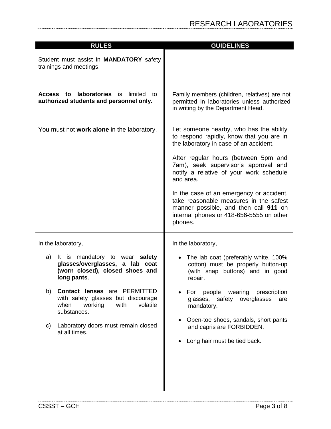| <b>RULES</b>                                                                                                                                 | <b>GUIDELINES</b>                                                                                                                                                                                                                                                                                                                                                                                                                                           |
|----------------------------------------------------------------------------------------------------------------------------------------------|-------------------------------------------------------------------------------------------------------------------------------------------------------------------------------------------------------------------------------------------------------------------------------------------------------------------------------------------------------------------------------------------------------------------------------------------------------------|
| Student must assist in <b>MANDATORY</b> safety<br>trainings and meetings.                                                                    |                                                                                                                                                                                                                                                                                                                                                                                                                                                             |
| <b>laboratories</b> is limited<br>Access to<br>to<br>authorized students and personnel only.                                                 | Family members (children, relatives) are not<br>permitted in laboratories unless authorized<br>in writing by the Department Head.                                                                                                                                                                                                                                                                                                                           |
| You must not work alone in the laboratory.                                                                                                   | Let someone nearby, who has the ability<br>to respond rapidly, know that you are in<br>the laboratory in case of an accident.<br>After regular hours (between 5pm and<br>7am), seek supervisor's approval and<br>notify a relative of your work schedule<br>and area.<br>In the case of an emergency or accident,<br>take reasonable measures in the safest<br>manner possible, and then call 911 on<br>internal phones or 418-656-5555 on other<br>phones. |
| In the laboratory,                                                                                                                           | In the laboratory,                                                                                                                                                                                                                                                                                                                                                                                                                                          |
| It is mandatory to wear safety<br>a)<br>glasses/overglasses, a lab coat<br>(worn closed), closed shoes and<br>long pants.                    | • The lab coat (preferably white, 100%<br>cotton) must be properly button-up<br>(with snap buttons) and in good<br>repair.                                                                                                                                                                                                                                                                                                                                  |
| <b>Contact lenses</b> are <b>PERMITTED</b><br>b)<br>with safety glasses but discourage<br>with<br>volatile<br>when<br>working<br>substances. | For people wearing<br>prescription<br>glasses, safety overglasses<br>are<br>mandatory.                                                                                                                                                                                                                                                                                                                                                                      |
| Laboratory doors must remain closed<br>C)<br>at all times.                                                                                   | Open-toe shoes, sandals, short pants<br>and capris are FORBIDDEN.<br>Long hair must be tied back.                                                                                                                                                                                                                                                                                                                                                           |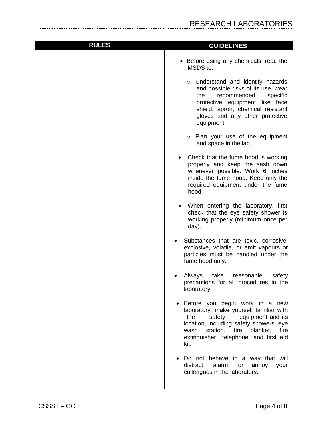| <b>RULES</b> | <b>GUIDELINES</b>                                                                                                                                                                                                                                                      |
|--------------|------------------------------------------------------------------------------------------------------------------------------------------------------------------------------------------------------------------------------------------------------------------------|
|              |                                                                                                                                                                                                                                                                        |
|              | • Before using any chemicals, read the<br>MSDS to:                                                                                                                                                                                                                     |
|              | o Understand and identify hazards<br>and possible risks of its use, wear<br>recommended<br>specific<br>the<br>protective equipment like face<br>shield, apron, chemical resistant<br>gloves and any other protective<br>equipment.                                     |
|              | o Plan your use of the equipment<br>and space in the lab.                                                                                                                                                                                                              |
|              | Check that the fume hood is working<br>properly and keep the sash down<br>whenever possible. Work 6 inches<br>inside the fume hood. Keep only the<br>required equipment under the fume<br>hood.                                                                        |
|              | When entering the laboratory, first<br>check that the eye safety shower is<br>working properly (minimum once per<br>day).                                                                                                                                              |
|              | Substances that are toxic, corrosive,<br>explosive, volatile, or emit vapours or<br>particles must be handled under the<br>fume hood only.                                                                                                                             |
|              | Always<br>take<br>reasonable<br>safety<br>precautions for all procedures in the<br>laboratory.                                                                                                                                                                         |
|              | Before you begin work in a new<br>$\bullet$<br>laboratory, make yourself familiar with<br>safety<br>equipment and its<br>the<br>location, including safety showers, eye<br>station, fire<br>blanket,<br>fire<br>wash<br>extinguisher, telephone, and first aid<br>kit. |
|              | Do not behave in a way that will<br>distract,<br>alarm,<br>or<br>annoy<br>your<br>colleagues in the laboratory.                                                                                                                                                        |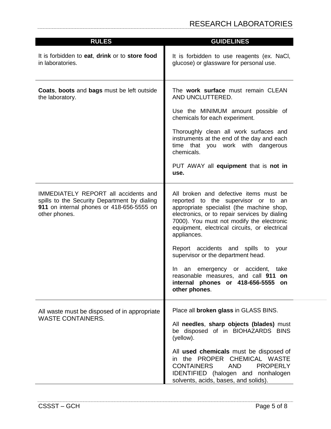| <b>RULES</b>                                                                                                                                       | <b>GUIDELINES</b>                                                                                                                                                                                                                                                                        |
|----------------------------------------------------------------------------------------------------------------------------------------------------|------------------------------------------------------------------------------------------------------------------------------------------------------------------------------------------------------------------------------------------------------------------------------------------|
| It is forbidden to eat, drink or to store food<br>in laboratories.                                                                                 | It is forbidden to use reagents (ex. NaCI,<br>glucose) or glassware for personal use.                                                                                                                                                                                                    |
| <b>Coats, boots and bags must be left outside</b><br>the laboratory.                                                                               | The work surface must remain CLEAN<br>AND UNCLUTTERED.                                                                                                                                                                                                                                   |
|                                                                                                                                                    | Use the MINIMUM amount possible of<br>chemicals for each experiment.                                                                                                                                                                                                                     |
|                                                                                                                                                    | Thoroughly clean all work surfaces and<br>instruments at the end of the day and each<br>time that you work with dangerous<br>chemicals.                                                                                                                                                  |
|                                                                                                                                                    | PUT AWAY all equipment that is not in<br>use.                                                                                                                                                                                                                                            |
| IMMEDIATELY REPORT all accidents and<br>spills to the Security Department by dialing<br>911 on internal phones or 418-656-5555 on<br>other phones. | All broken and defective items must be<br>reported to the supervisor or to an<br>appropriate specialist (the machine shop,<br>electronics, or to repair services by dialing<br>7000). You must not modify the electronic<br>equipment, electrical circuits, or electrical<br>appliances. |
|                                                                                                                                                    | Report accidents and spills to<br>your<br>supervisor or the department head.                                                                                                                                                                                                             |
|                                                                                                                                                    | emergency or accident,<br>take<br>In.<br>an<br>reasonable measures, and call 911<br>on<br>internal phones or 418-656-5555<br><b>on</b><br>other phones.                                                                                                                                  |
| All waste must be disposed of in appropriate<br><b>WASTE CONTAINERS.</b>                                                                           | Place all broken glass in GLASS BINS.                                                                                                                                                                                                                                                    |
|                                                                                                                                                    | All needles, sharp objects (blades) must<br>be disposed of in BIOHAZARDS BINS<br>(yellow).                                                                                                                                                                                               |
|                                                                                                                                                    | All used chemicals must be disposed of<br>the PROPER CHEMICAL WASTE<br>in.<br><b>PROPERLY</b><br><b>CONTAINERS</b><br><b>AND</b><br><b>IDENTIFIED</b> (halogen and nonhalogen<br>solvents, acids, bases, and solids).                                                                    |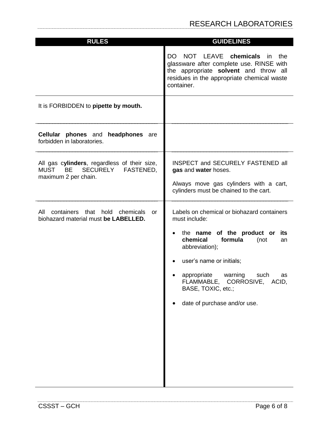| <b>GUIDELINES</b>                                                                                                                                                                                                                                                                                                |
|------------------------------------------------------------------------------------------------------------------------------------------------------------------------------------------------------------------------------------------------------------------------------------------------------------------|
| NOT LEAVE<br>chemicals<br>DO.<br>in.<br>the<br>glassware after complete use. RINSE with<br>the appropriate solvent and throw all<br>residues in the appropriate chemical waste<br>container.                                                                                                                     |
|                                                                                                                                                                                                                                                                                                                  |
|                                                                                                                                                                                                                                                                                                                  |
| INSPECT and SECURELY FASTENED all<br>gas and water hoses.<br>Always move gas cylinders with a cart,<br>cylinders must be chained to the cart.                                                                                                                                                                    |
| Labels on chemical or biohazard containers<br>must include:<br>the name of the product or<br>its<br>chemical<br>formula<br>(not<br>an<br>abbreviation);<br>user's name or initials;<br>appropriate<br>warning<br>such<br>as<br>FLAMMABLE, CORROSIVE, ACID,<br>BASE, TOXIC, etc.;<br>date of purchase and/or use. |
|                                                                                                                                                                                                                                                                                                                  |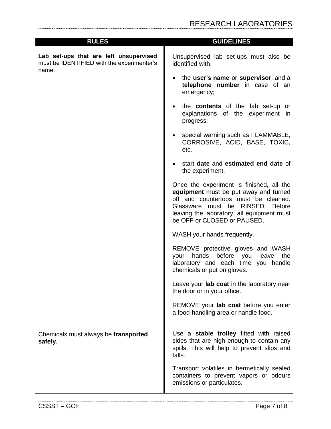| <b>RULES</b>                                                                                  | <b>GUIDELINES</b>                                                                                                                                                                                                                          |
|-----------------------------------------------------------------------------------------------|--------------------------------------------------------------------------------------------------------------------------------------------------------------------------------------------------------------------------------------------|
| Lab set-ups that are left unsupervised<br>must be IDENTIFIED with the experimenter's<br>name. | Unsupervised lab set-ups must also be<br>identified with:                                                                                                                                                                                  |
|                                                                                               | the user's name or supervisor, and a<br>telephone number in case of an<br>emergency;                                                                                                                                                       |
|                                                                                               | the contents of the lab set-up or<br>explanations of the experiment in<br>progress;                                                                                                                                                        |
|                                                                                               | special warning such as FLAMMABLE,<br>CORROSIVE, ACID, BASE, TOXIC,<br>etc.                                                                                                                                                                |
|                                                                                               | start date and estimated end date of<br>the experiment.                                                                                                                                                                                    |
|                                                                                               | Once the experiment is finished, all the<br>equipment must be put away and turned<br>off and countertops must be cleaned.<br>Glassware must be RINSED. Before<br>leaving the laboratory, all equipment must<br>be OFF or CLOSED or PAUSED. |
|                                                                                               | WASH your hands frequently.                                                                                                                                                                                                                |
|                                                                                               | REMOVE protective gloves and WASH<br>hands<br>before<br>the<br>your<br>you<br>leave<br>laboratory and each time you handle<br>chemicals or put on gloves.                                                                                  |
|                                                                                               | Leave your lab coat in the laboratory near<br>the door or in your office.                                                                                                                                                                  |
|                                                                                               | REMOVE your lab coat before you enter<br>a food-handling area or handle food.                                                                                                                                                              |
| Chemicals must always be transported<br>safely.                                               | Use a stable trolley fitted with raised<br>sides that are high enough to contain any<br>spills. This will help to prevent slips and<br>falls.                                                                                              |
|                                                                                               | Transport volatiles in hermetically sealed<br>containers to prevent vapors or odours<br>emissions or particulates.                                                                                                                         |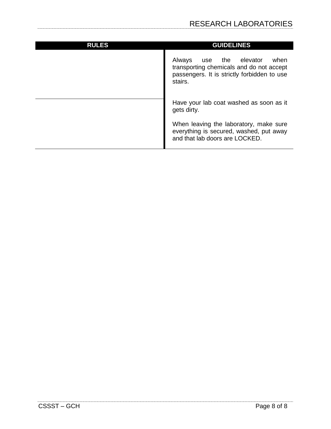| <b>RULES</b> | <b>GUIDELINES</b>                                                                                                                              |
|--------------|------------------------------------------------------------------------------------------------------------------------------------------------|
|              | Always<br>elevator<br>the<br>when<br>use<br>transporting chemicals and do not accept<br>passengers. It is strictly forbidden to use<br>stairs. |
|              | Have your lab coat washed as soon as it<br>gets dirty.                                                                                         |
|              | When leaving the laboratory, make sure<br>everything is secured, washed, put away<br>and that lab doors are LOCKED.                            |